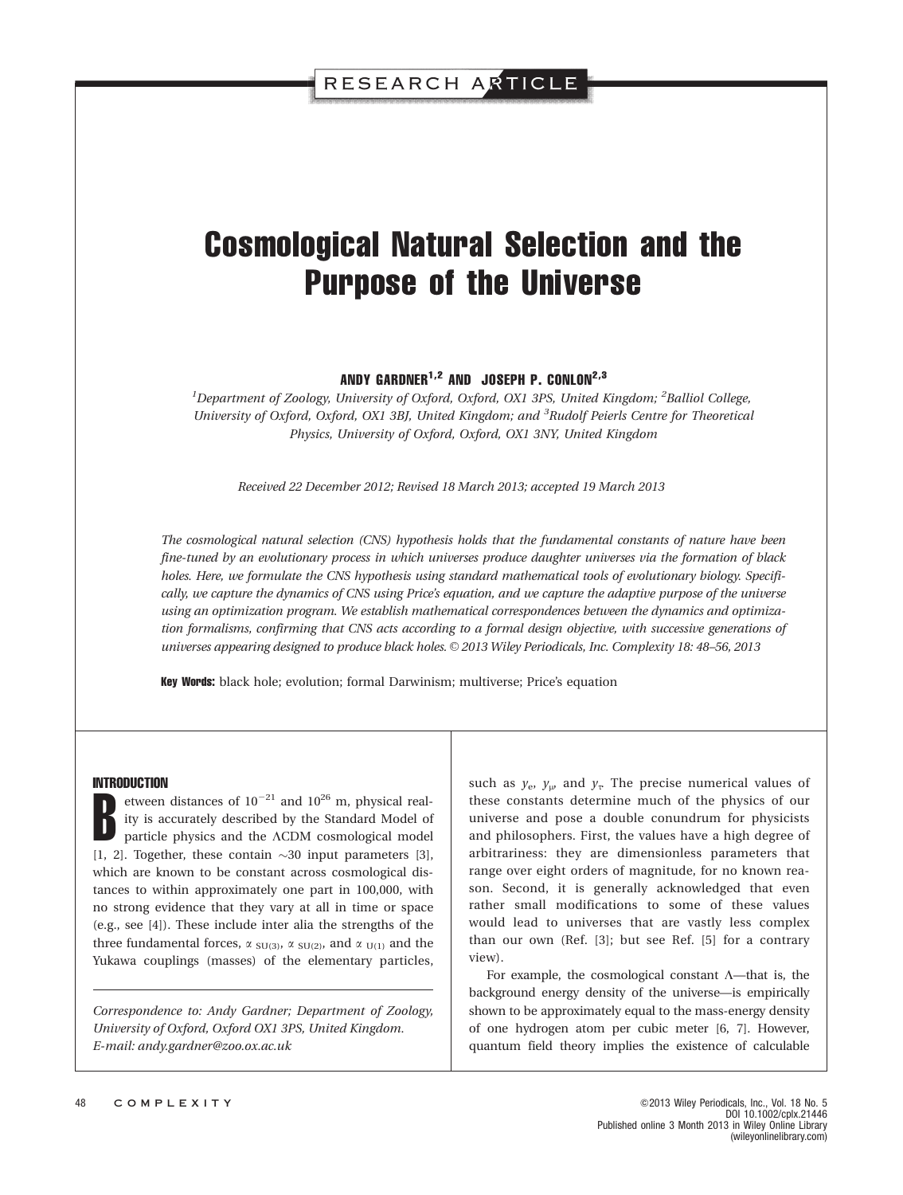## RESEARCH ARTICLE

# Cosmological Natural Selection and the Purpose of the Universe

## ANDY GARDNER<sup>1,2</sup> AND JOSEPH P. CONLON<sup>2,3</sup>

<sup>1</sup>Department of Zoology, University of Oxford, Oxford, OX1 3PS, United Kingdom; <sup>2</sup>Balliol College, University of Oxford, Oxford, OX1 3BJ, United Kingdom; and <sup>3</sup>Rudolf Peierls Centre for Theoretical Physics, University of Oxford, Oxford, OX1 3NY, United Kingdom

Received 22 December 2012; Revised 18 March 2013; accepted 19 March 2013

The cosmological natural selection (CNS) hypothesis holds that the fundamental constants of nature have been fine-tuned by an evolutionary process in which universes produce daughter universes via the formation of black holes. Here, we formulate the CNS hypothesis using standard mathematical tools of evolutionary biology. Specifically, we capture the dynamics of CNS using Price's equation, and we capture the adaptive purpose of the universe using an optimization program. We establish mathematical correspondences between the dynamics and optimization formalisms, confirming that CNS acts according to a formal design objective, with successive generations of universes appearing designed to produce black holes. © 2013 Wiley Periodicals, Inc. Complexity 18: 48–56, 2013

Key Words: black hole; evolution; formal Darwinism; multiverse; Price's equation

## **INTRODUCTION**

**B** etween distances of  $10^{-21}$  and  $10^{26}$  m, physical reality is accurately described by the Standard Model of particle physics and the KCDM cosmological model  $[1, 2]$ . Together, these contain  $\sim 30$  input parameters  $[3]$ , which are known to be constant across cosmological distances to within approximately one part in 100,000, with no strong evidence that they vary at all in time or space (e.g., see [4]). These include inter alia the strengths of the three fundamental forces,  $\alpha_{SU(3)}$ ,  $\alpha_{SU(2)}$ , and  $\alpha_{U(1)}$  and the Yukawa couplings (masses) of the elementary particles,

Correspondence to: Andy Gardner; Department of Zoology, University of Oxford, Oxford OX1 3PS, United Kingdom. E-mail: andy.gardner@zoo.ox.ac.uk

such as  $y_e$ ,  $y_w$  and  $y_\tau$ . The precise numerical values of these constants determine much of the physics of our universe and pose a double conundrum for physicists and philosophers. First, the values have a high degree of arbitrariness: they are dimensionless parameters that range over eight orders of magnitude, for no known reason. Second, it is generally acknowledged that even rather small modifications to some of these values would lead to universes that are vastly less complex than our own (Ref. [3]; but see Ref. [5] for a contrary view).

For example, the cosmological constant  $\Lambda$ —that is, the background energy density of the universe—is empirically shown to be approximately equal to the mass-energy density of one hydrogen atom per cubic meter [6, 7]. However, quantum field theory implies the existence of calculable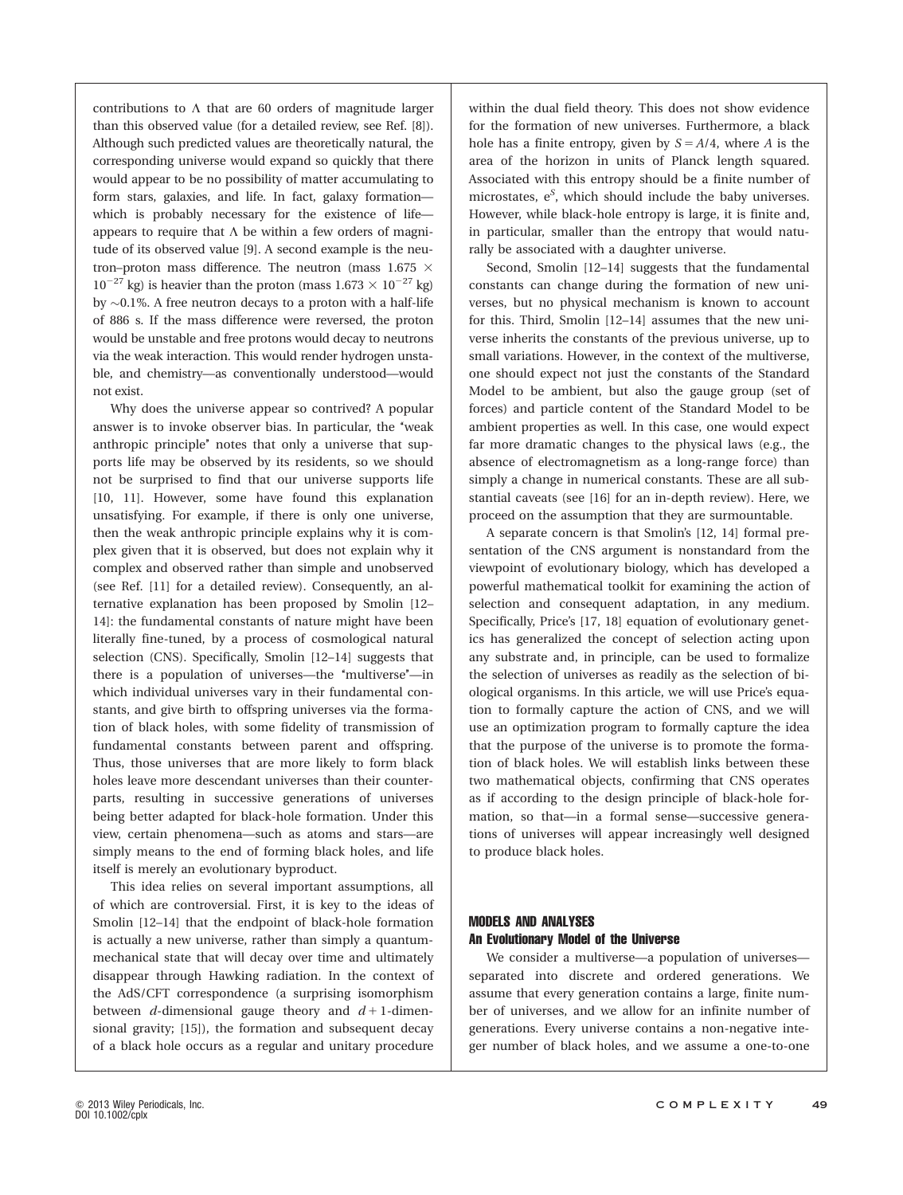contributions to  $\Lambda$  that are 60 orders of magnitude larger than this observed value (for a detailed review, see Ref. [8]). Although such predicted values are theoretically natural, the corresponding universe would expand so quickly that there would appear to be no possibility of matter accumulating to form stars, galaxies, and life. In fact, galaxy formation which is probably necessary for the existence of life appears to require that  $\Lambda$  be within a few orders of magnitude of its observed value [9]. A second example is the neutron–proton mass difference. The neutron (mass 1.675  $\times$  $10^{-27}$  kg) is heavier than the proton (mass  $1.673 \times 10^{-27}$  kg) by  ${\sim}0.1\%$ . A free neutron decays to a proton with a half-life of 886 s. If the mass difference were reversed, the proton would be unstable and free protons would decay to neutrons via the weak interaction. This would render hydrogen unstable, and chemistry—as conventionally understood—would not exist.

Why does the universe appear so contrived? A popular answer is to invoke observer bias. In particular, the 'weak anthropic principle'' notes that only a universe that supports life may be observed by its residents, so we should not be surprised to find that our universe supports life [10, 11]. However, some have found this explanation unsatisfying. For example, if there is only one universe, then the weak anthropic principle explains why it is complex given that it is observed, but does not explain why it complex and observed rather than simple and unobserved (see Ref. [11] for a detailed review). Consequently, an alternative explanation has been proposed by Smolin [12– 14]: the fundamental constants of nature might have been literally fine-tuned, by a process of cosmological natural selection (CNS). Specifically, Smolin [12–14] suggests that there is a population of universes—the "multiverse"—in which individual universes vary in their fundamental constants, and give birth to offspring universes via the formation of black holes, with some fidelity of transmission of fundamental constants between parent and offspring. Thus, those universes that are more likely to form black holes leave more descendant universes than their counterparts, resulting in successive generations of universes being better adapted for black-hole formation. Under this view, certain phenomena—such as atoms and stars—are simply means to the end of forming black holes, and life itself is merely an evolutionary byproduct.

This idea relies on several important assumptions, all of which are controversial. First, it is key to the ideas of Smolin [12–14] that the endpoint of black-hole formation is actually a new universe, rather than simply a quantummechanical state that will decay over time and ultimately disappear through Hawking radiation. In the context of the AdS/CFT correspondence (a surprising isomorphism between d-dimensional gauge theory and  $d+1$ -dimensional gravity; [15]), the formation and subsequent decay of a black hole occurs as a regular and unitary procedure

within the dual field theory. This does not show evidence for the formation of new universes. Furthermore, a black hole has a finite entropy, given by  $S = A/4$ , where A is the area of the horizon in units of Planck length squared. Associated with this entropy should be a finite number of microstates,  $e^{S}$ , which should include the baby universes. However, while black-hole entropy is large, it is finite and, in particular, smaller than the entropy that would naturally be associated with a daughter universe.

Second, Smolin [12–14] suggests that the fundamental constants can change during the formation of new universes, but no physical mechanism is known to account for this. Third, Smolin [12–14] assumes that the new universe inherits the constants of the previous universe, up to small variations. However, in the context of the multiverse, one should expect not just the constants of the Standard Model to be ambient, but also the gauge group (set of forces) and particle content of the Standard Model to be ambient properties as well. In this case, one would expect far more dramatic changes to the physical laws (e.g., the absence of electromagnetism as a long-range force) than simply a change in numerical constants. These are all substantial caveats (see [16] for an in-depth review). Here, we proceed on the assumption that they are surmountable.

A separate concern is that Smolin's [12, 14] formal presentation of the CNS argument is nonstandard from the viewpoint of evolutionary biology, which has developed a powerful mathematical toolkit for examining the action of selection and consequent adaptation, in any medium. Specifically, Price's [17, 18] equation of evolutionary genetics has generalized the concept of selection acting upon any substrate and, in principle, can be used to formalize the selection of universes as readily as the selection of biological organisms. In this article, we will use Price's equation to formally capture the action of CNS, and we will use an optimization program to formally capture the idea that the purpose of the universe is to promote the formation of black holes. We will establish links between these two mathematical objects, confirming that CNS operates as if according to the design principle of black-hole formation, so that—in a formal sense—successive generations of universes will appear increasingly well designed to produce black holes.

## MODELS AND ANALYSES An Evolutionary Model of the Universe

We consider a multiverse—a population of universes separated into discrete and ordered generations. We assume that every generation contains a large, finite number of universes, and we allow for an infinite number of generations. Every universe contains a non-negative integer number of black holes, and we assume a one-to-one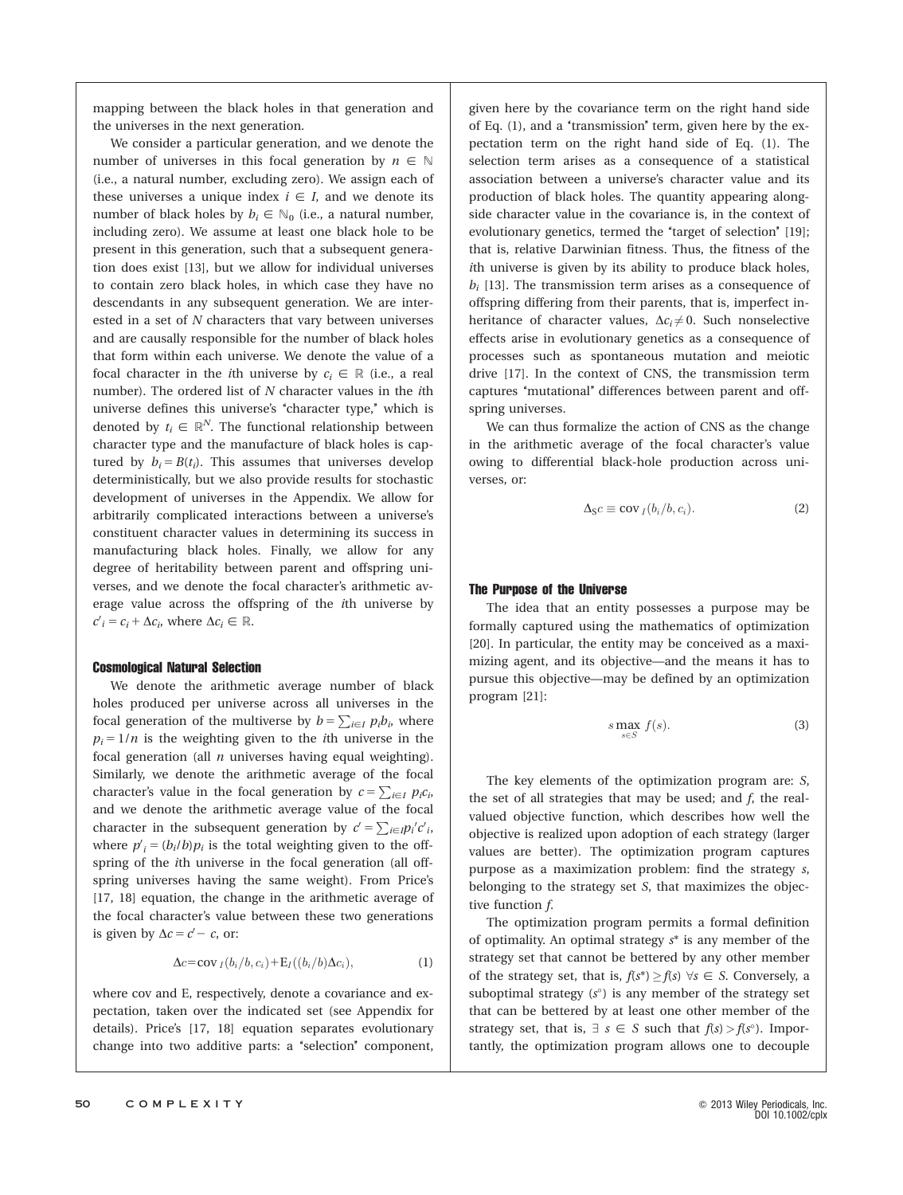mapping between the black holes in that generation and the universes in the next generation.

We consider a particular generation, and we denote the number of universes in this focal generation by  $n \in \mathbb{N}$ (i.e., a natural number, excluding zero). We assign each of these universes a unique index  $i \in I$ , and we denote its number of black holes by  $b_i \in \mathbb{N}_0$  (i.e., a natural number, including zero). We assume at least one black hole to be present in this generation, such that a subsequent generation does exist [13], but we allow for individual universes to contain zero black holes, in which case they have no descendants in any subsequent generation. We are interested in a set of N characters that vary between universes and are causally responsible for the number of black holes that form within each universe. We denote the value of a focal character in the *i*th universe by  $c_i \in \mathbb{R}$  (i.e., a real number). The ordered list of  $N$  character values in the  $i$ th universe defines this universe's 'character type,' which is denoted by  $t_i \in \mathbb{R}^N$ . The functional relationship between character type and the manufacture of black holes is captured by  $b_i = B(t_i)$ . This assumes that universes develop deterministically, but we also provide results for stochastic development of universes in the Appendix. We allow for arbitrarily complicated interactions between a universe's constituent character values in determining its success in manufacturing black holes. Finally, we allow for any degree of heritability between parent and offspring universes, and we denote the focal character's arithmetic average value across the offspring of the ith universe by  $c'_{i} = c_{i} + \Delta c_{i}$ , where  $\Delta c_{i} \in \mathbb{R}$ .

## Cosmological Natural Selection

We denote the arithmetic average number of black holes produced per universe across all universes in the focal generation of the multiverse by  $b = \sum_{i \in I} p_i b_i$ , where  $p_i = 1/n$  is the weighting given to the *i*th universe in the focal generation (all  $n$  universes having equal weighting). Similarly, we denote the arithmetic average of the focal character's value in the focal generation by  $c = \sum_{i \in I} p_i c_i$ , and we denote the arithmetic average value of the focal character in the subsequent generation by  $c' = \sum_{i \in I} p_i' c'_i$ , where  $p'_{i} = (b_{i}/b)p_{i}$  is the total weighting given to the offspring of the ith universe in the focal generation (all offspring universes having the same weight). From Price's [17, 18] equation, the change in the arithmetic average of the focal character's value between these two generations is given by  $\Delta c = c' - c$ , or:

$$
\Delta c = \operatorname{cov}_I(b_i/b, c_i) + \mathbb{E}_I((b_i/b)\Delta c_i),\tag{1}
$$

where cov and E, respectively, denote a covariance and expectation, taken over the indicated set (see Appendix for details). Price's [17, 18] equation separates evolutionary change into two additive parts: a 'selection' component,

given here by the covariance term on the right hand side of Eq. (1), and a "transmission" term, given here by the expectation term on the right hand side of Eq. (1). The selection term arises as a consequence of a statistical association between a universe's character value and its production of black holes. The quantity appearing alongside character value in the covariance is, in the context of evolutionary genetics, termed the "target of selection" [19]; that is, relative Darwinian fitness. Thus, the fitness of the ith universe is given by its ability to produce black holes,  $b_i$  [13]. The transmission term arises as a consequence of offspring differing from their parents, that is, imperfect inheritance of character values,  $\Delta c_i \neq 0$ . Such nonselective effects arise in evolutionary genetics as a consequence of processes such as spontaneous mutation and meiotic drive [17]. In the context of CNS, the transmission term captures 'mutational' differences between parent and offspring universes.

We can thus formalize the action of CNS as the change in the arithmetic average of the focal character's value owing to differential black-hole production across universes, or:

$$
\Delta_{\rm S} c \equiv \text{cov}_I(b_i/b, c_i). \tag{2}
$$

### The Purpose of the Universe

The idea that an entity possesses a purpose may be formally captured using the mathematics of optimization [20]. In particular, the entity may be conceived as a maximizing agent, and its objective—and the means it has to pursue this objective—may be defined by an optimization program [21]:

$$
s \max_{s \in S} f(s). \tag{3}
$$

The key elements of the optimization program are: S, the set of all strategies that may be used; and  $f$ , the realvalued objective function, which describes how well the objective is realized upon adoption of each strategy (larger values are better). The optimization program captures purpose as a maximization problem: find the strategy s, belonging to the strategy set S, that maximizes the objective function f.

The optimization program permits a formal definition of optimality. An optimal strategy  $s^*$  is any member of the strategy set that cannot be bettered by any other member of the strategy set, that is,  $f(s^*) \ge f(s)$   $\forall s \in S$ . Conversely, a suboptimal strategy  $(s^{\circ})$  is any member of the strategy set that can be bettered by at least one other member of the strategy set, that is,  $\exists s \in S$  such that  $f(s) > f(s^{\circ})$ . Importantly, the optimization program allows one to decouple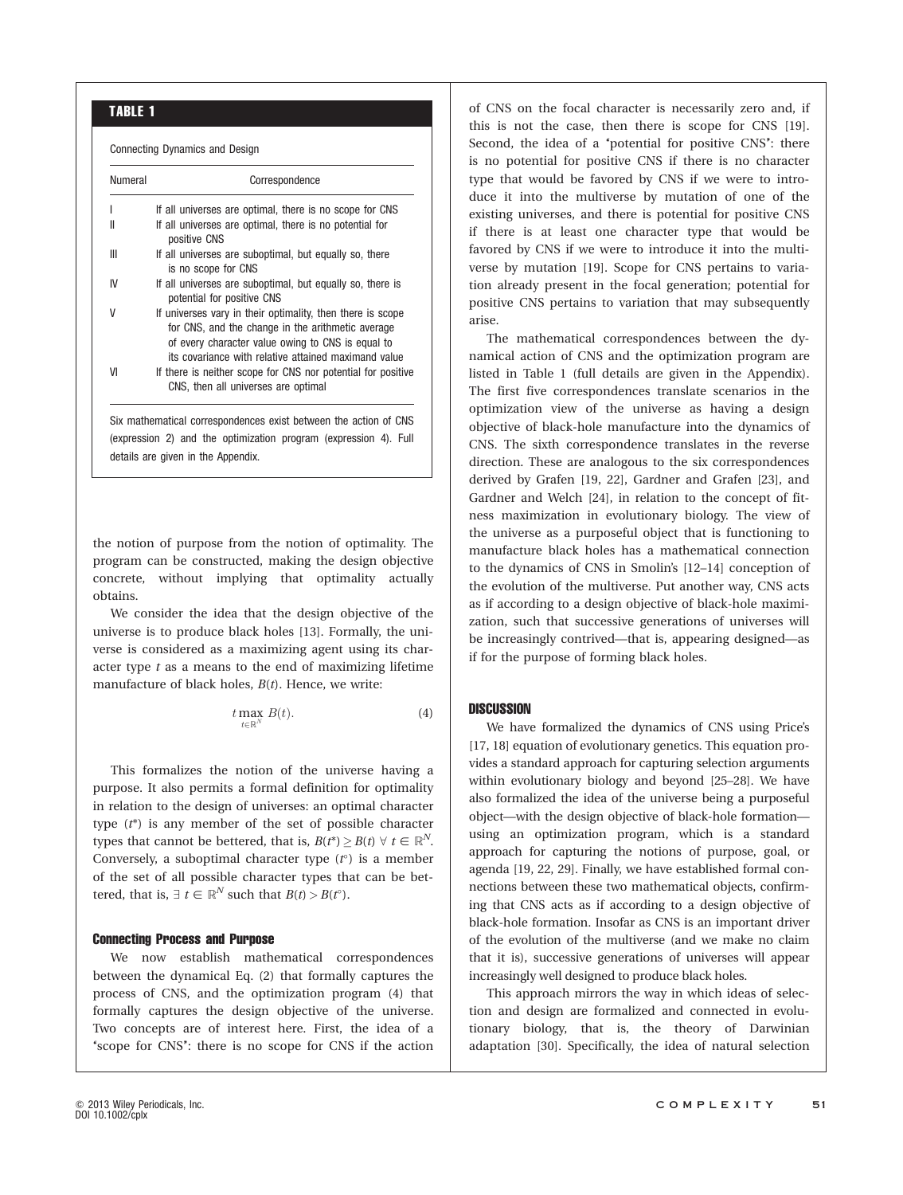## TABLE 1

Connecting Dynamics and Design

| Numeral      | Correspondence                                                                                                                                                                                                               |
|--------------|------------------------------------------------------------------------------------------------------------------------------------------------------------------------------------------------------------------------------|
| I            | If all universes are optimal, there is no scope for CNS                                                                                                                                                                      |
| $\mathsf{I}$ | If all universes are optimal, there is no potential for<br>positive CNS                                                                                                                                                      |
| Ш            | If all universes are suboptimal, but equally so, there<br>is no scope for CNS                                                                                                                                                |
| IV           | If all universes are suboptimal, but equally so, there is<br>potential for positive CNS                                                                                                                                      |
| ۷            | If universes vary in their optimality, then there is scope<br>for CNS, and the change in the arithmetic average<br>of every character value owing to CNS is equal to<br>its covariance with relative attained maximand value |
| VI           | If there is neither scope for CNS nor potential for positive<br>CNS, then all universes are optimal                                                                                                                          |

the notion of purpose from the notion of optimality. The program can be constructed, making the design objective concrete, without implying that optimality actually obtains.

We consider the idea that the design objective of the universe is to produce black holes [13]. Formally, the universe is considered as a maximizing agent using its character type  $t$  as a means to the end of maximizing lifetime manufacture of black holes,  $B(t)$ . Hence, we write:

$$
t \max_{t \in \mathbb{R}^N} B(t). \tag{4}
$$

This formalizes the notion of the universe having a purpose. It also permits a formal definition for optimality in relation to the design of universes: an optimal character type  $(t^*)$  is any member of the set of possible character types that cannot be bettered, that is,  $B(t^*) \ge B(t) \ \forall \ t \in \mathbb{R}^N$ . Conversely, a suboptimal character type  $(t^{\circ})$  is a member of the set of all possible character types that can be bettered, that is,  $\exists t \in \mathbb{R}^N$  such that  $B(t) > B(t^{\circ})$ .

#### Connecting Process and Purpose

We now establish mathematical correspondences between the dynamical Eq. (2) that formally captures the process of CNS, and the optimization program (4) that formally captures the design objective of the universe. Two concepts are of interest here. First, the idea of a "scope for CNS": there is no scope for CNS if the action

of CNS on the focal character is necessarily zero and, if this is not the case, then there is scope for CNS [19]. Second, the idea of a "potential for positive CNS": there is no potential for positive CNS if there is no character type that would be favored by CNS if we were to introduce it into the multiverse by mutation of one of the existing universes, and there is potential for positive CNS if there is at least one character type that would be favored by CNS if we were to introduce it into the multiverse by mutation [19]. Scope for CNS pertains to variation already present in the focal generation; potential for positive CNS pertains to variation that may subsequently arise.

The mathematical correspondences between the dynamical action of CNS and the optimization program are listed in Table 1 (full details are given in the Appendix). The first five correspondences translate scenarios in the optimization view of the universe as having a design objective of black-hole manufacture into the dynamics of CNS. The sixth correspondence translates in the reverse direction. These are analogous to the six correspondences derived by Grafen [19, 22], Gardner and Grafen [23], and Gardner and Welch [24], in relation to the concept of fitness maximization in evolutionary biology. The view of the universe as a purposeful object that is functioning to manufacture black holes has a mathematical connection to the dynamics of CNS in Smolin's [12–14] conception of the evolution of the multiverse. Put another way, CNS acts as if according to a design objective of black-hole maximization, such that successive generations of universes will be increasingly contrived—that is, appearing designed—as if for the purpose of forming black holes.

## **DISCUSSION**

We have formalized the dynamics of CNS using Price's [17, 18] equation of evolutionary genetics. This equation provides a standard approach for capturing selection arguments within evolutionary biology and beyond [25–28]. We have also formalized the idea of the universe being a purposeful object—with the design objective of black-hole formation using an optimization program, which is a standard approach for capturing the notions of purpose, goal, or agenda [19, 22, 29]. Finally, we have established formal connections between these two mathematical objects, confirming that CNS acts as if according to a design objective of black-hole formation. Insofar as CNS is an important driver of the evolution of the multiverse (and we make no claim that it is), successive generations of universes will appear increasingly well designed to produce black holes.

This approach mirrors the way in which ideas of selection and design are formalized and connected in evolutionary biology, that is, the theory of Darwinian adaptation [30]. Specifically, the idea of natural selection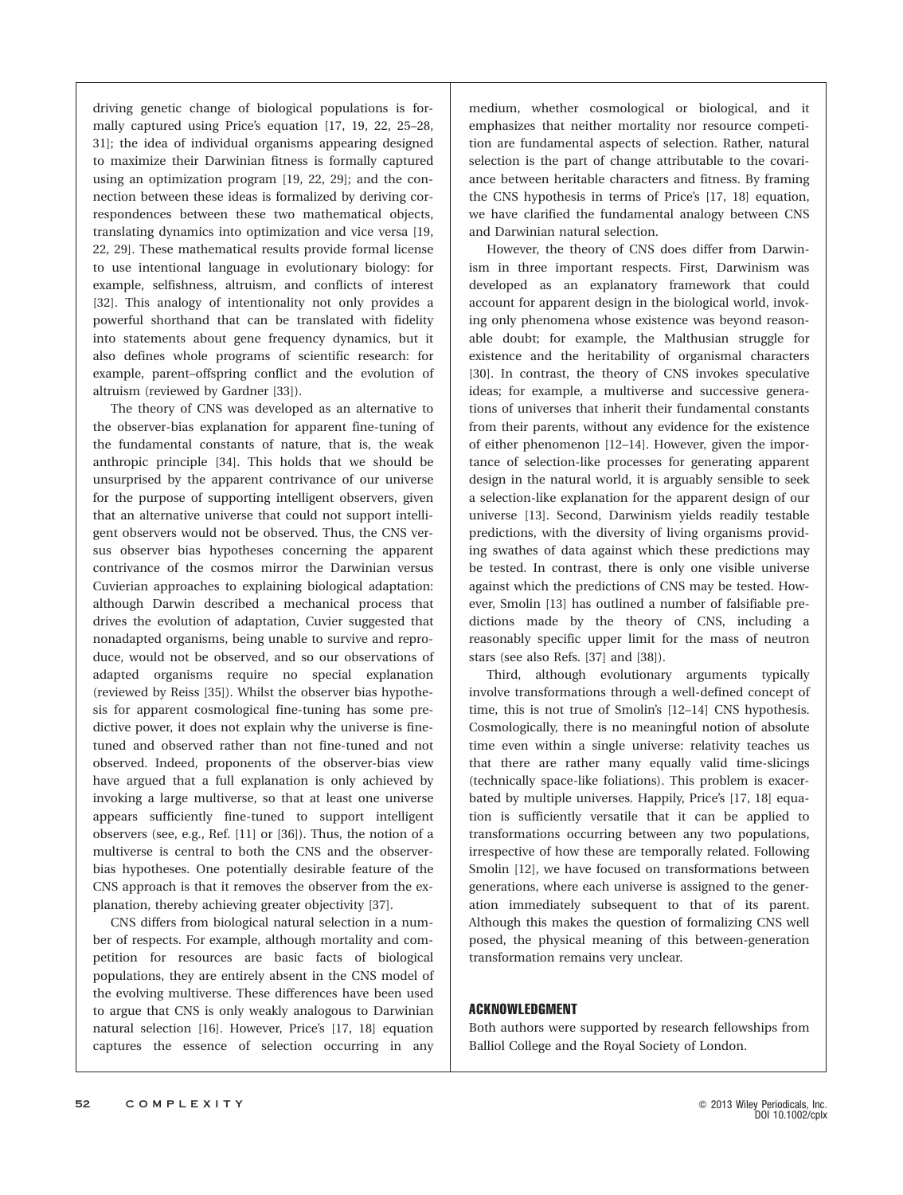driving genetic change of biological populations is formally captured using Price's equation [17, 19, 22, 25–28, 31]; the idea of individual organisms appearing designed to maximize their Darwinian fitness is formally captured using an optimization program [19, 22, 29]; and the connection between these ideas is formalized by deriving correspondences between these two mathematical objects, translating dynamics into optimization and vice versa [19, 22, 29]. These mathematical results provide formal license to use intentional language in evolutionary biology: for example, selfishness, altruism, and conflicts of interest [32]. This analogy of intentionality not only provides a powerful shorthand that can be translated with fidelity into statements about gene frequency dynamics, but it also defines whole programs of scientific research: for example, parent–offspring conflict and the evolution of altruism (reviewed by Gardner [33]).

The theory of CNS was developed as an alternative to the observer-bias explanation for apparent fine-tuning of the fundamental constants of nature, that is, the weak anthropic principle [34]. This holds that we should be unsurprised by the apparent contrivance of our universe for the purpose of supporting intelligent observers, given that an alternative universe that could not support intelligent observers would not be observed. Thus, the CNS versus observer bias hypotheses concerning the apparent contrivance of the cosmos mirror the Darwinian versus Cuvierian approaches to explaining biological adaptation: although Darwin described a mechanical process that drives the evolution of adaptation, Cuvier suggested that nonadapted organisms, being unable to survive and reproduce, would not be observed, and so our observations of adapted organisms require no special explanation (reviewed by Reiss [35]). Whilst the observer bias hypothesis for apparent cosmological fine-tuning has some predictive power, it does not explain why the universe is finetuned and observed rather than not fine-tuned and not observed. Indeed, proponents of the observer-bias view have argued that a full explanation is only achieved by invoking a large multiverse, so that at least one universe appears sufficiently fine-tuned to support intelligent observers (see, e.g., Ref. [11] or [36]). Thus, the notion of a multiverse is central to both the CNS and the observerbias hypotheses. One potentially desirable feature of the CNS approach is that it removes the observer from the explanation, thereby achieving greater objectivity [37].

CNS differs from biological natural selection in a number of respects. For example, although mortality and competition for resources are basic facts of biological populations, they are entirely absent in the CNS model of the evolving multiverse. These differences have been used to argue that CNS is only weakly analogous to Darwinian natural selection [16]. However, Price's [17, 18] equation captures the essence of selection occurring in any medium, whether cosmological or biological, and it emphasizes that neither mortality nor resource competition are fundamental aspects of selection. Rather, natural selection is the part of change attributable to the covariance between heritable characters and fitness. By framing the CNS hypothesis in terms of Price's [17, 18] equation, we have clarified the fundamental analogy between CNS and Darwinian natural selection.

However, the theory of CNS does differ from Darwinism in three important respects. First, Darwinism was developed as an explanatory framework that could account for apparent design in the biological world, invoking only phenomena whose existence was beyond reasonable doubt; for example, the Malthusian struggle for existence and the heritability of organismal characters [30]. In contrast, the theory of CNS invokes speculative ideas; for example, a multiverse and successive generations of universes that inherit their fundamental constants from their parents, without any evidence for the existence of either phenomenon [12–14]. However, given the importance of selection-like processes for generating apparent design in the natural world, it is arguably sensible to seek a selection-like explanation for the apparent design of our universe [13]. Second, Darwinism yields readily testable predictions, with the diversity of living organisms providing swathes of data against which these predictions may be tested. In contrast, there is only one visible universe against which the predictions of CNS may be tested. However, Smolin [13] has outlined a number of falsifiable predictions made by the theory of CNS, including a reasonably specific upper limit for the mass of neutron stars (see also Refs. [37] and [38]).

Third, although evolutionary arguments typically involve transformations through a well-defined concept of time, this is not true of Smolin's [12–14] CNS hypothesis. Cosmologically, there is no meaningful notion of absolute time even within a single universe: relativity teaches us that there are rather many equally valid time-slicings (technically space-like foliations). This problem is exacerbated by multiple universes. Happily, Price's [17, 18] equation is sufficiently versatile that it can be applied to transformations occurring between any two populations, irrespective of how these are temporally related. Following Smolin [12], we have focused on transformations between generations, where each universe is assigned to the generation immediately subsequent to that of its parent. Although this makes the question of formalizing CNS well posed, the physical meaning of this between-generation transformation remains very unclear.

## ACKNOWLEDGMENT

Both authors were supported by research fellowships from Balliol College and the Royal Society of London.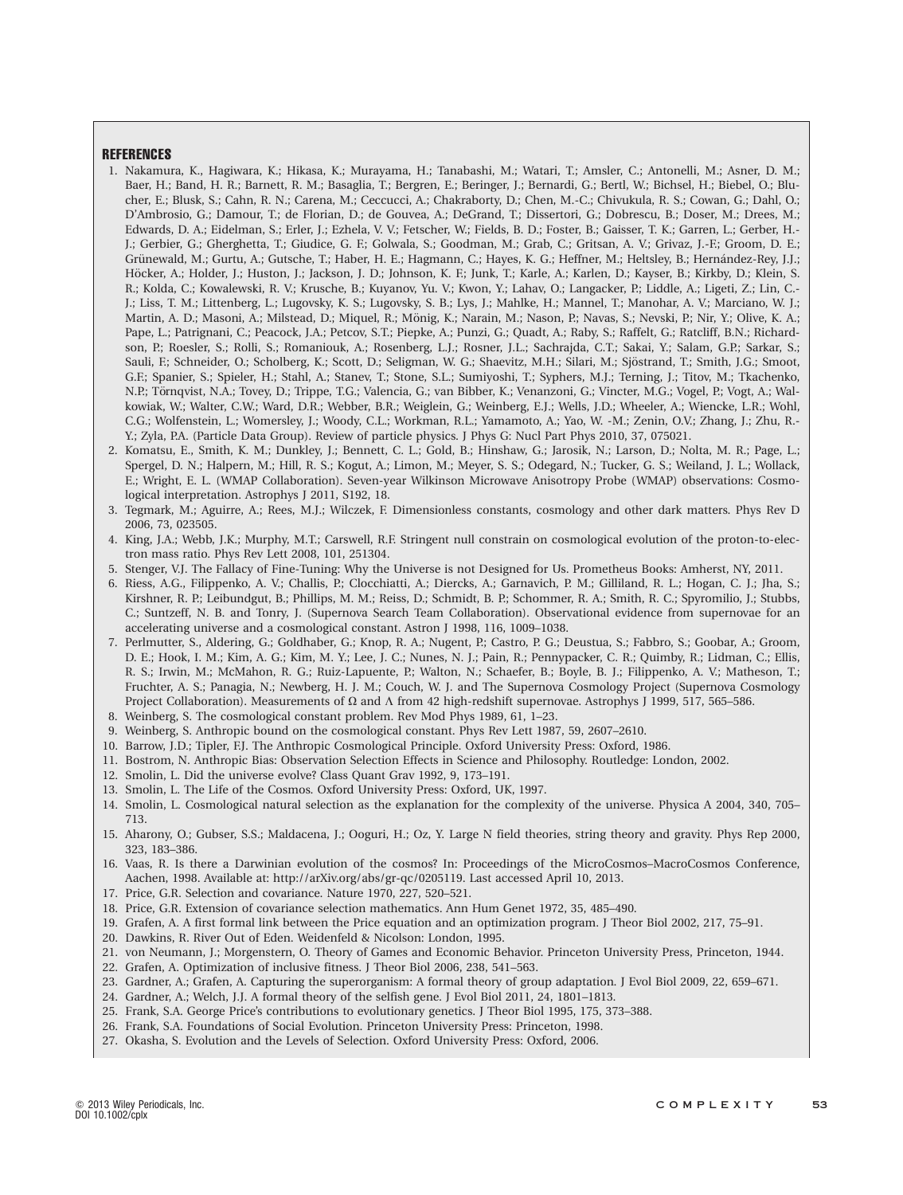#### **REFERENCES**

- 1. Nakamura, K., Hagiwara, K.; Hikasa, K.; Murayama, H.; Tanabashi, M.; Watari, T.; Amsler, C.; Antonelli, M.; Asner, D. M.; Baer, H.; Band, H. R.; Barnett, R. M.; Basaglia, T.; Bergren, E.; Beringer, J.; Bernardi, G.; Bertl, W.; Bichsel, H.; Biebel, O.; Blucher, E.; Blusk, S.; Cahn, R. N.; Carena, M.; Ceccucci, A.; Chakraborty, D.; Chen, M.-C.; Chivukula, R. S.; Cowan, G.; Dahl, O.; D'Ambrosio, G.; Damour, T.; de Florian, D.; de Gouvea, A.; DeGrand, T.; Dissertori, G.; Dobrescu, B.; Doser, M.; Drees, M.; Edwards, D. A.; Eidelman, S.; Erler, J.; Ezhela, V. V.; Fetscher, W.; Fields, B. D.; Foster, B.; Gaisser, T. K.; Garren, L.; Gerber, H.- J.; Gerbier, G.; Gherghetta, T.; Giudice, G. F.; Golwala, S.; Goodman, M.; Grab, C.; Gritsan, A. V.; Grivaz, J.-F.; Groom, D. E.; Grünewald, M.; Gurtu, A.; Gutsche, T.; Haber, H. E.; Hagmann, C.; Hayes, K. G.; Heffner, M.; Heltsley, B.; Hernández-Rey, J.J.; Höcker, A.; Holder, J.; Huston, J.; Jackson, J. D.; Johnson, K. F.; Junk, T.; Karle, A.; Karlen, D.; Kayser, B.; Kirkby, D.; Klein, S. R.; Kolda, C.; Kowalewski, R. V.; Krusche, B.; Kuyanov, Yu. V.; Kwon, Y.; Lahav, O.; Langacker, P.; Liddle, A.; Ligeti, Z.; Lin, C.- J.; Liss, T. M.; Littenberg, L.; Lugovsky, K. S.; Lugovsky, S. B.; Lys, J.; Mahlke, H.; Mannel, T.; Manohar, A. V.; Marciano, W. J.; Martin, A. D.; Masoni, A.; Milstead, D.; Miquel, R.; Mönig, K.; Narain, M.; Nason, P.; Navas, S.; Nevski, P.; Nir, Y.; Olive, K. A.; Pape, L.; Patrignani, C.; Peacock, J.A.; Petcov, S.T.; Piepke, A.; Punzi, G.; Quadt, A.; Raby, S.; Raffelt, G.; Ratcliff, B.N.; Richardson, P.; Roesler, S.; Rolli, S.; Romaniouk, A.; Rosenberg, L.J.; Rosner, J.L.; Sachrajda, C.T.; Sakai, Y.; Salam, G.P.; Sarkar, S.; Sauli, F.; Schneider, O.; Scholberg, K.; Scott, D.; Seligman, W. G.; Shaevitz, M.H.; Silari, M.; Sjöstrand, T.; Smith, J.G.; Smoot, G.F.; Spanier, S.; Spieler, H.; Stahl, A.; Stanev, T.; Stone, S.L.; Sumiyoshi, T.; Syphers, M.J.; Terning, J.; Titov, M.; Tkachenko, N.P.; Törnqvist, N.A.; Tovey, D.; Trippe, T.G.; Valencia, G.; van Bibber, K.; Venanzoni, G.; Vincter, M.G.; Vogel, P.; Vogt, A.; Walkowiak, W.; Walter, C.W.; Ward, D.R.; Webber, B.R.; Weiglein, G.; Weinberg, E.J.; Wells, J.D.; Wheeler, A.; Wiencke, L.R.; Wohl, C.G.; Wolfenstein, L.; Womersley, J.; Woody, C.L.; Workman, R.L.; Yamamoto, A.; Yao, W. -M.; Zenin, O.V.; Zhang, J.; Zhu, R.- Y.; Zyla, P.A. (Particle Data Group). Review of particle physics. J Phys G: Nucl Part Phys 2010, 37, 075021.
- 2. Komatsu, E., Smith, K. M.; Dunkley, J.; Bennett, C. L.; Gold, B.; Hinshaw, G.; Jarosik, N.; Larson, D.; Nolta, M. R.; Page, L.; Spergel, D. N.; Halpern, M.; Hill, R. S.; Kogut, A.; Limon, M.; Meyer, S. S.; Odegard, N.; Tucker, G. S.; Weiland, J. L.; Wollack, E.; Wright, E. L. (WMAP Collaboration). Seven-year Wilkinson Microwave Anisotropy Probe (WMAP) observations: Cosmological interpretation. Astrophys J 2011, S192, 18.
- 3. Tegmark, M.; Aguirre, A.; Rees, M.J.; Wilczek, F. Dimensionless constants, cosmology and other dark matters. Phys Rev D 2006, 73, 023505.
- 4. King, J.A.; Webb, J.K.; Murphy, M.T.; Carswell, R.F. Stringent null constrain on cosmological evolution of the proton-to-electron mass ratio. Phys Rev Lett 2008, 101, 251304.
- 5. Stenger, V.J. The Fallacy of Fine-Tuning: Why the Universe is not Designed for Us. Prometheus Books: Amherst, NY, 2011.
- 6. Riess, A.G., Filippenko, A. V.; Challis, P.; Clocchiatti, A.; Diercks, A.; Garnavich, P. M.; Gilliland, R. L.; Hogan, C. J.; Jha, S.; Kirshner, R. P.; Leibundgut, B.; Phillips, M. M.; Reiss, D.; Schmidt, B. P.; Schommer, R. A.; Smith, R. C.; Spyromilio, J.; Stubbs, C.; Suntzeff, N. B. and Tonry, J. (Supernova Search Team Collaboration). Observational evidence from supernovae for an accelerating universe and a cosmological constant. Astron J 1998, 116, 1009–1038.
- 7. Perlmutter, S., Aldering, G.; Goldhaber, G.; Knop, R. A.; Nugent, P.; Castro, P. G.; Deustua, S.; Fabbro, S.; Goobar, A.; Groom, D. E.; Hook, I. M.; Kim, A. G.; Kim, M. Y.; Lee, J. C.; Nunes, N. J.; Pain, R.; Pennypacker, C. R.; Quimby, R.; Lidman, C.; Ellis, R. S.; Irwin, M.; McMahon, R. G.; Ruiz-Lapuente, P.; Walton, N.; Schaefer, B.; Boyle, B. J.; Filippenko, A. V.; Matheson, T.; Fruchter, A. S.; Panagia, N.; Newberg, H. J. M.; Couch, W. J. and The Supernova Cosmology Project (Supernova Cosmology Project Collaboration). Measurements of  $\Omega$  and  $\Lambda$  from 42 high-redshift supernovae. Astrophys J 1999, 517, 565–586.
- 8. Weinberg, S. The cosmological constant problem. Rev Mod Phys 1989, 61, 1–23.
- 9. Weinberg, S. Anthropic bound on the cosmological constant. Phys Rev Lett 1987, 59, 2607–2610.
- 10. Barrow, J.D.; Tipler, F.J. The Anthropic Cosmological Principle. Oxford University Press: Oxford, 1986.
- 11. Bostrom, N. Anthropic Bias: Observation Selection Effects in Science and Philosophy. Routledge: London, 2002.
- 12. Smolin, L. Did the universe evolve? Class Quant Grav 1992, 9, 173–191.
- 13. Smolin, L. The Life of the Cosmos. Oxford University Press: Oxford, UK, 1997.
- 14. Smolin, L. Cosmological natural selection as the explanation for the complexity of the universe. Physica A 2004, 340, 705– 713.
- 15. Aharony, O.; Gubser, S.S.; Maldacena, J.; Ooguri, H.; Oz, Y. Large N field theories, string theory and gravity. Phys Rep 2000, 323, 183–386.
- 16. Vaas, R. Is there a Darwinian evolution of the cosmos? In: Proceedings of the MicroCosmos–MacroCosmos Conference, Aachen, 1998. Available at: [http://arXiv.org/abs/gr-qc/0205119.](http://arXiv.org/abs/gr-qc/0205119) Last accessed April 10, 2013.
- 17. Price, G.R. Selection and covariance. Nature 1970, 227, 520–521.
- 18. Price, G.R. Extension of covariance selection mathematics. Ann Hum Genet 1972, 35, 485–490.
- 19. Grafen, A. A first formal link between the Price equation and an optimization program. J Theor Biol 2002, 217, 75–91.
- 20. Dawkins, R. River Out of Eden. Weidenfeld & Nicolson: London, 1995.
- 21. von Neumann, J.; Morgenstern, O. Theory of Games and Economic Behavior. Princeton University Press, Princeton, 1944.
- 22. Grafen, A. Optimization of inclusive fitness. J Theor Biol 2006, 238, 541–563.
- 23. Gardner, A.; Grafen, A. Capturing the superorganism: A formal theory of group adaptation. J Evol Biol 2009, 22, 659–671.
- 24. Gardner, A.; Welch, J.J. A formal theory of the selfish gene. J Evol Biol 2011, 24, 1801–1813.
- 25. Frank, S.A. George Price's contributions to evolutionary genetics. J Theor Biol 1995, 175, 373–388.
- 26. Frank, S.A. Foundations of Social Evolution. Princeton University Press: Princeton, 1998.
- 27. Okasha, S. Evolution and the Levels of Selection. Oxford University Press: Oxford, 2006.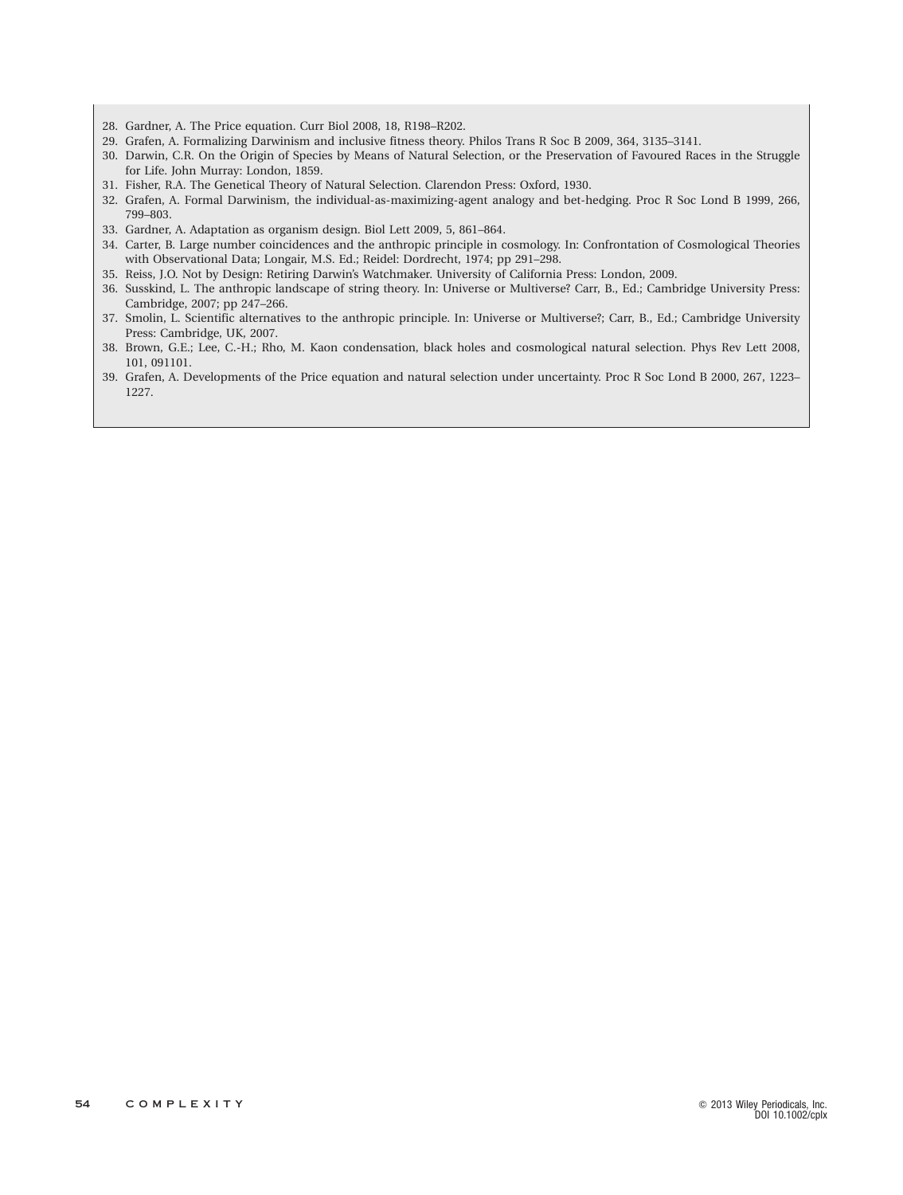- 28. Gardner, A. The Price equation. Curr Biol 2008, 18, R198–R202.
- 29. Grafen, A. Formalizing Darwinism and inclusive fitness theory. Philos Trans R Soc B 2009, 364, 3135–3141.
- 30. Darwin, C.R. On the Origin of Species by Means of Natural Selection, or the Preservation of Favoured Races in the Struggle for Life. John Murray: London, 1859.
- 31. Fisher, R.A. The Genetical Theory of Natural Selection. Clarendon Press: Oxford, 1930.
- 32. Grafen, A. Formal Darwinism, the individual-as-maximizing-agent analogy and bet-hedging. Proc R Soc Lond B 1999, 266, 799–803.
- 33. Gardner, A. Adaptation as organism design. Biol Lett 2009, 5, 861–864.
- 34. Carter, B. Large number coincidences and the anthropic principle in cosmology. In: Confrontation of Cosmological Theories with Observational Data; Longair, M.S. Ed.; Reidel: Dordrecht, 1974; pp 291–298.
- 35. Reiss, J.O. Not by Design: Retiring Darwin's Watchmaker. University of California Press: London, 2009.
- 36. Susskind, L. The anthropic landscape of string theory. In: Universe or Multiverse? Carr, B., Ed.; Cambridge University Press: Cambridge, 2007; pp 247–266.
- 37. Smolin, L. Scientific alternatives to the anthropic principle. In: Universe or Multiverse?; Carr, B., Ed.; Cambridge University Press: Cambridge, UK, 2007.
- 38. Brown, G.E.; Lee, C.-H.; Rho, M. Kaon condensation, black holes and cosmological natural selection. Phys Rev Lett 2008, 101, 091101.
- 39. Grafen, A. Developments of the Price equation and natural selection under uncertainty. Proc R Soc Lond B 2000, 267, 1223– 1227.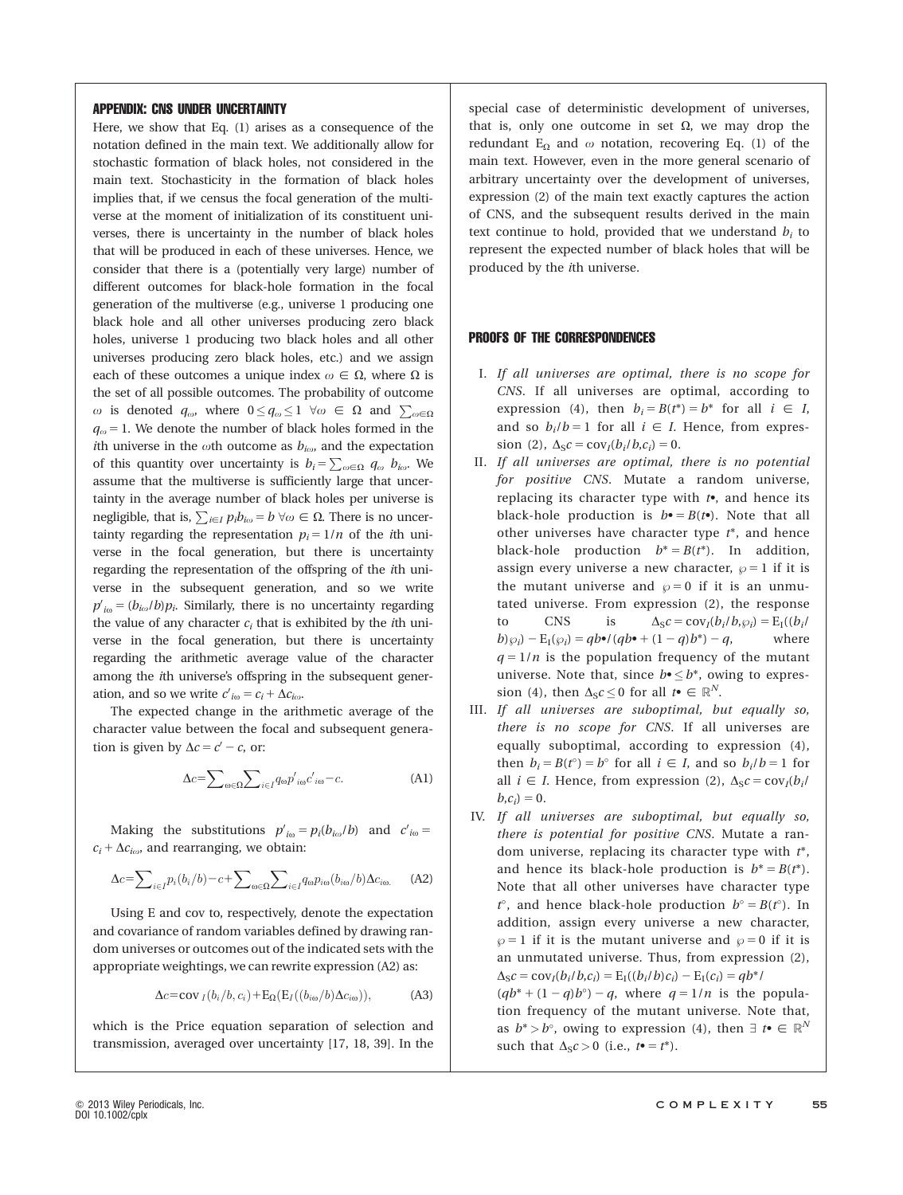## APPENDIX: CNS UNDER UNCERTAINTY

Here, we show that Eq. (1) arises as a consequence of the notation defined in the main text. We additionally allow for stochastic formation of black holes, not considered in the main text. Stochasticity in the formation of black holes implies that, if we census the focal generation of the multiverse at the moment of initialization of its constituent universes, there is uncertainty in the number of black holes that will be produced in each of these universes. Hence, we consider that there is a (potentially very large) number of different outcomes for black-hole formation in the focal generation of the multiverse (e.g., universe 1 producing one black hole and all other universes producing zero black holes, universe 1 producing two black holes and all other universes producing zero black holes, etc.) and we assign each of these outcomes a unique index  $\omega \in \Omega$ , where  $\Omega$  is the set of all possible outcomes. The probability of outcome  $\omega$  is denoted  $q_{\omega}$ , where  $0 \leq q_{\omega} \leq 1$   $\forall \omega \in \Omega$  and  $\sum_{\omega \in \Omega}$  $q_{\omega}$  = 1. We denote the number of black holes formed in the ith universe in the  $\omega$ th outcome as  $b_{i\omega}$ , and the expectation of this quantity over uncertainty is  $b_i = \sum_{\omega \in \Omega} q_{\omega} b_{i\omega}$ . We assume that the multiverse is sufficiently large that uncertainty in the average number of black holes per universe is negligible, that is,  $\sum_{i \in I} p_i b_{i\omega} = b \ \forall \omega \in \Omega$ . There is no uncertainty regarding the representation  $p_i = 1/n$  of the *i*th universe in the focal generation, but there is uncertainty regarding the representation of the offspring of the ith universe in the subsequent generation, and so we write  $p'_{io} = (b_{io}/b)p_i$ . Similarly, there is no uncertainty regarding the value of any character  $c_i$  that is exhibited by the *i*th universe in the focal generation, but there is uncertainty regarding the arithmetic average value of the character among the ith universe's offspring in the subsequent generation, and so we write  $c'_{i\omega} = c_i + \Delta c_{i\omega}$ .

The expected change in the arithmetic average of the character value between the focal and subsequent generation is given by  $\Delta c = c' - c$ , or:

$$
\Delta c = \sum_{\omega \in \Omega} \sum_{i \in I} q_{\omega} p'_{i\omega} c'_{i\omega} - c.
$$
 (A1)

Making the substitutions  $p'_{i\omega} = p_i(b_{i\omega}/b)$  and  $c'_{i\omega} =$  $c_i + \Delta c_{i\omega}$ , and rearranging, we obtain:

$$
\Delta c = \sum_{i \in I} p_i(b_i/b) - c + \sum_{\omega \in \Omega} \sum_{i \in I} q_{\omega} p_{i\omega}(b_{i\omega}/b) \Delta c_{i\omega} \tag{A2}
$$

Using E and cov to, respectively, denote the expectation and covariance of random variables defined by drawing random universes or outcomes out of the indicated sets with the appropriate weightings, we can rewrite expression (A2) as:

$$
\Delta c = \text{cov}_I(b_i/b, c_i) + \mathcal{E}_{\Omega}(\mathcal{E}_I((b_{i\omega}/b)\Delta c_{i\omega})),\tag{A3}
$$

which is the Price equation separation of selection and transmission, averaged over uncertainty [17, 18, 39]. In the

special case of deterministic development of universes, that is, only one outcome in set  $\Omega$ , we may drop the redundant  $E_{\Omega}$  and  $\omega$  notation, recovering Eq. (1) of the main text. However, even in the more general scenario of arbitrary uncertainty over the development of universes, expression (2) of the main text exactly captures the action of CNS, and the subsequent results derived in the main text continue to hold, provided that we understand  $b_i$  to represent the expected number of black holes that will be produced by the ith universe.

## PROOFS OF THE CORRESPONDENCES

- I. If all universes are optimal, there is no scope for CNS. If all universes are optimal, according to expression (4), then  $b_i = B(t^*) = b^*$  for all  $i \in I$ , and so  $b_i/b = 1$  for all  $i \in I$ . Hence, from expression (2),  $\Delta_{S}c = \text{cov}_{I}(b_{i}/b,c_{i}) = 0.$
- II. If all universes are optimal, there is no potential for positive CNS. Mutate a random universe, replacing its character type with  $t$ <sup>\*</sup>, and hence its black-hole production is  $b \bullet = B(t \bullet)$ . Note that all other universes have character type  $t^*$ , and hence black-hole production  $b^* = B(t^*)$ . In addition, assign every universe a new character,  $\wp = 1$  if it is the mutant universe and  $\varphi = 0$  if it is an unmutated universe. From expression (2), the response to CNS is  $\Delta_S c = \text{cov}_I(b_i/b, \wp_i) = E_I((b_i/b_i))$  $b)_{\wp_i}$ ) - E<sub>I</sub>( $_{\wp_i}$ ) = qb•/(qb• + (1 - q)b<sup>\*</sup>) - q, where  $q = 1/n$  is the population frequency of the mutant universe. Note that, since  $b \bullet \leq b^*$ , owing to expression (4), then  $\Delta_S c \leq 0$  for all  $t^{\bullet} \in \mathbb{R}^N$ .
- III. If all universes are suboptimal, but equally so, there is no scope for CNS. If all universes are equally suboptimal, according to expression (4), then  $b_i = B(t^{\circ}) = b^{\circ}$  for all  $i \in I$ , and so  $b_i/b = 1$  for all  $i \in I$ . Hence, from expression (2),  $\Delta_S c = \text{cov}_I(b_i/I)$  $b,c_i$ ) = 0.
- IV. If all universes are suboptimal, but equally so, there is potential for positive CNS. Mutate a random universe, replacing its character type with  $t^*$ , and hence its black-hole production is  $b^* = B(t^*)$ . Note that all other universes have character type  $t^{\circ}$ , and hence black-hole production  $b^{\circ} = B(t^{\circ})$ . In addition, assign every universe a new character,  $\wp = 1$  if it is the mutant universe and  $\wp = 0$  if it is an unmutated universe. Thus, from expression (2),  $\Delta_{S}c = \text{cov}_{I}(b_{i}/b_{i},c_{i}) = E_{I}((b_{i}/b)c_{i}) - E_{I}(c_{i}) = qb^{*}/$  $(qb^* + (1 - q)b) - q$ , where  $q = 1/n$  is the population frequency of the mutant universe. Note that, as  $b^* > b^{\circ}$ , owing to expression (4), then  $\exists t \bullet \in \mathbb{R}^N$

such that  $\Delta_S c > 0$  (i.e.,  $t \bullet = t^*$ ).